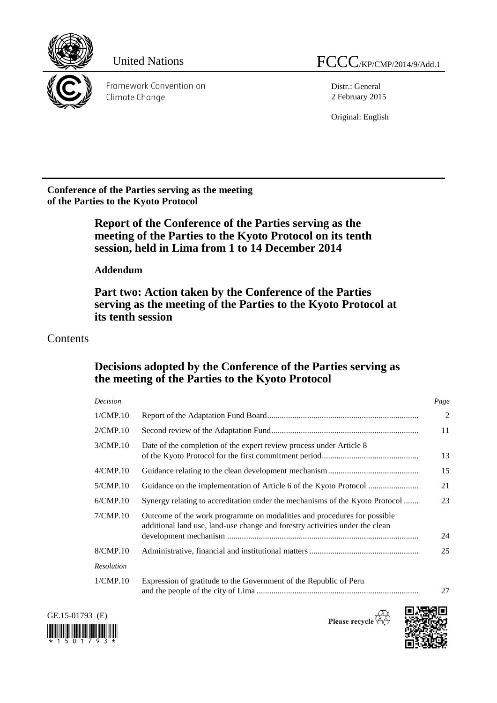

Framework Convention on Climate Change

Distr.: General 2 February 2015

Original: English

**Conference of the Parties serving as the meeting of the Parties to the Kyoto Protocol**

> **Report of the Conference of the Parties serving as the meeting of the Parties to the Kyoto Protocol on its tenth session, held in Lima from 1 to 14 December 2014**

**Addendum**

**Part two: Action taken by the Conference of the Parties serving as the meeting of the Parties to the Kyoto Protocol at its tenth session**

# Contents

# **Decisions adopted by the Conference of the Parties serving as the meeting of the Parties to the Kyoto Protocol**

| Decision    |                                                                                                                                                         | Page           |
|-------------|---------------------------------------------------------------------------------------------------------------------------------------------------------|----------------|
| 1/CMP.10    |                                                                                                                                                         | $\overline{2}$ |
| 2/CMP.10    |                                                                                                                                                         | 11             |
| 3/CMP.10    | Date of the completion of the expert review process under Article 8                                                                                     | 13             |
| $4/$ CMP.10 |                                                                                                                                                         | 15             |
| 5/CMP.10    |                                                                                                                                                         | 21             |
| 6/CMP.10    | Synergy relating to accreditation under the mechanisms of the Kyoto Protocol                                                                            | 23             |
| 7/CMP.10    | Outcome of the work programme on modalities and procedures for possible<br>additional land use, land-use change and forestry activities under the clean | 24             |
| 8/CMP.10    |                                                                                                                                                         | 25             |
| Resolution  |                                                                                                                                                         |                |
| 1/CMP.10    | Expression of gratitude to the Government of the Republic of Peru                                                                                       | 27             |



Please recycle  $\overline{\mathbb{Q}}$ 

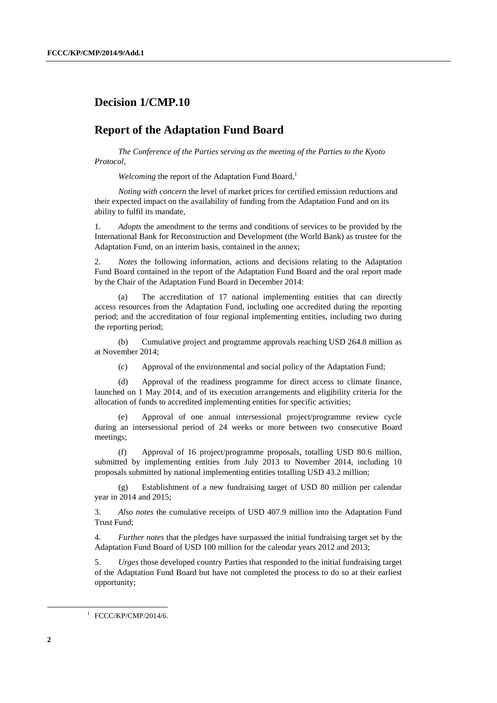## **Decision 1/CMP.10**

### **Report of the Adaptation Fund Board**

*The Conference of the Parties serving as the meeting of the Parties to the Kyoto Protocol*,

*Welcoming* the report of the Adaptation Fund Board,<sup>1</sup>

*Noting with concern* the level of market prices for certified emission reductions and their expected impact on the availability of funding from the Adaptation Fund and on its ability to fulfil its mandate,

1. *Adopts* the amendment to the terms and conditions of services to be provided by the International Bank for Reconstruction and Development (the World Bank) as trustee for the Adaptation Fund, on an interim basis, contained in the annex;

2. *Notes* the following information, actions and decisions relating to the Adaptation Fund Board contained in the report of the Adaptation Fund Board and the oral report made by the Chair of the Adaptation Fund Board in December 2014:

(a) The accreditation of 17 national implementing entities that can directly access resources from the Adaptation Fund, including one accredited during the reporting period; and the accreditation of four regional implementing entities, including two during the reporting period;

(b) Cumulative project and programme approvals reaching USD 264.8 million as at November 2014;

(c) Approval of the environmental and social policy of the Adaptation Fund;

(d) Approval of the readiness programme for direct access to climate finance, launched on 1 May 2014, and of its execution arrangements and eligibility criteria for the allocation of funds to accredited implementing entities for specific activities;

(e) Approval of one annual intersessional project/programme review cycle during an intersessional period of 24 weeks or more between two consecutive Board meetings;

(f) Approval of 16 project/programme proposals, totalling USD 80.6 million, submitted by implementing entities from July 2013 to November 2014, including 10 proposals submitted by national implementing entities totalling USD 43.2 million;

(g) Establishment of a new fundraising target of USD 80 million per calendar year in 2014 and 2015;

3. *Also notes* the cumulative receipts of USD 407.9 million into the Adaptation Fund Trust Fund;

4. *Further notes* that the pledges have surpassed the initial fundraising target set by the Adaptation Fund Board of USD 100 million for the calendar years 2012 and 2013;

5. *Urges* those developed country Parties that responded to the initial fundraising target of the Adaptation Fund Board but have not completed the process to do so at their earliest opportunity;

1 FCCC/KP/CMP/2014/6.

 $\overline{a}$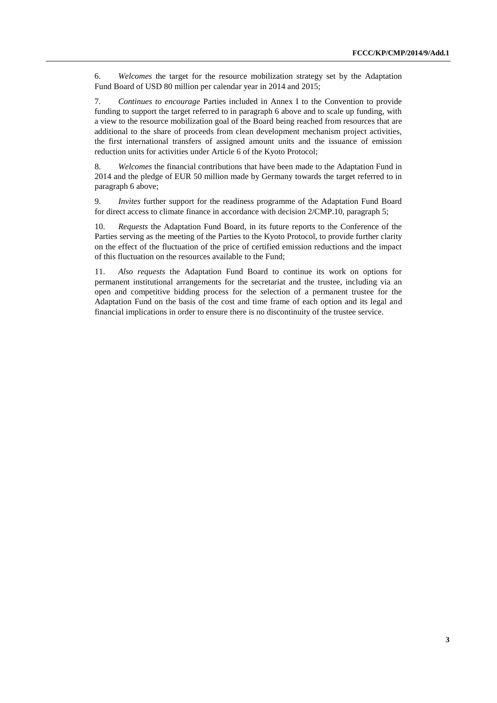6. *Welcomes* the target for the resource mobilization strategy set by the Adaptation Fund Board of USD 80 million per calendar year in 2014 and 2015;

7. *Continues to encourage* Parties included in Annex I to the Convention to provide funding to support the target referred to in paragraph 6 above and to scale up funding, with a view to the resource mobilization goal of the Board being reached from resources that are additional to the share of proceeds from clean development mechanism project activities, the first international transfers of assigned amount units and the issuance of emission reduction units for activities under Article 6 of the Kyoto Protocol;

8. *Welcomes* the financial contributions that have been made to the Adaptation Fund in 2014 and the pledge of EUR 50 million made by Germany towards the target referred to in paragraph 6 above;

9. *Invites* further support for the readiness programme of the Adaptation Fund Board for direct access to climate finance in accordance with decision 2/CMP.10, paragraph 5;

10. *Requests* the Adaptation Fund Board, in its future reports to the Conference of the Parties serving as the meeting of the Parties to the Kyoto Protocol, to provide further clarity on the effect of the fluctuation of the price of certified emission reductions and the impact of this fluctuation on the resources available to the Fund;

11. *Also requests* the Adaptation Fund Board to continue its work on options for permanent institutional arrangements for the secretariat and the trustee, including via an open and competitive bidding process for the selection of a permanent trustee for the Adaptation Fund on the basis of the cost and time frame of each option and its legal and financial implications in order to ensure there is no discontinuity of the trustee service.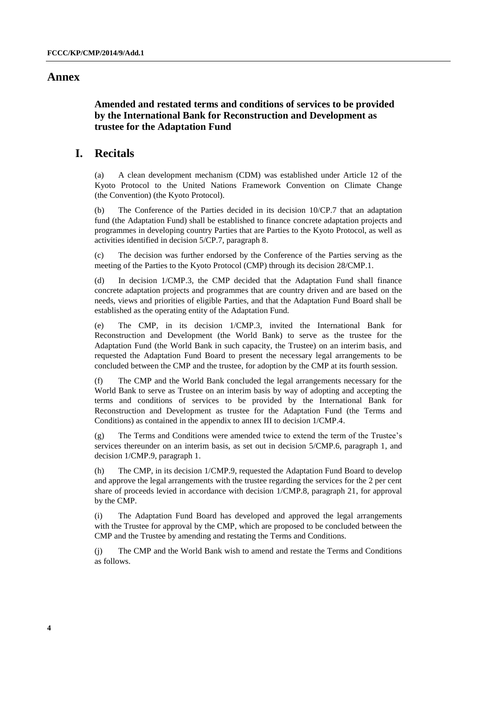#### **Annex**

#### **Amended and restated terms and conditions of services to be provided by the International Bank for Reconstruction and Development as trustee for the Adaptation Fund**

### **I. Recitals**

(a) A clean development mechanism (CDM) was established under Article 12 of the Kyoto Protocol to the United Nations Framework Convention on Climate Change (the Convention) (the Kyoto Protocol).

(b) The Conference of the Parties decided in its decision 10/CP.7 that an adaptation fund (the Adaptation Fund) shall be established to finance concrete adaptation projects and programmes in developing country Parties that are Parties to the Kyoto Protocol, as well as activities identified in decision 5/CP.7, paragraph 8.

(c) The decision was further endorsed by the Conference of the Parties serving as the meeting of the Parties to the Kyoto Protocol (CMP) through its decision 28/CMP.1.

(d) In decision 1/CMP.3, the CMP decided that the Adaptation Fund shall finance concrete adaptation projects and programmes that are country driven and are based on the needs, views and priorities of eligible Parties, and that the Adaptation Fund Board shall be established as the operating entity of the Adaptation Fund.

(e) The CMP, in its decision 1/CMP.3, invited the International Bank for Reconstruction and Development (the World Bank) to serve as the trustee for the Adaptation Fund (the World Bank in such capacity, the Trustee) on an interim basis, and requested the Adaptation Fund Board to present the necessary legal arrangements to be concluded between the CMP and the trustee, for adoption by the CMP at its fourth session.

(f) The CMP and the World Bank concluded the legal arrangements necessary for the World Bank to serve as Trustee on an interim basis by way of adopting and accepting the terms and conditions of services to be provided by the International Bank for Reconstruction and Development as trustee for the Adaptation Fund (the Terms and Conditions) as contained in the appendix to annex III to decision 1/CMP.4.

(g) The Terms and Conditions were amended twice to extend the term of the Trustee's services thereunder on an interim basis, as set out in decision 5/CMP.6, paragraph 1, and decision 1/CMP.9, paragraph 1.

(h) The CMP, in its decision 1/CMP.9, requested the Adaptation Fund Board to develop and approve the legal arrangements with the trustee regarding the services for the 2 per cent share of proceeds levied in accordance with decision 1/CMP.8, paragraph 21, for approval by the CMP.

(i) The Adaptation Fund Board has developed and approved the legal arrangements with the Trustee for approval by the CMP, which are proposed to be concluded between the CMP and the Trustee by amending and restating the Terms and Conditions.

(j) The CMP and the World Bank wish to amend and restate the Terms and Conditions as follows.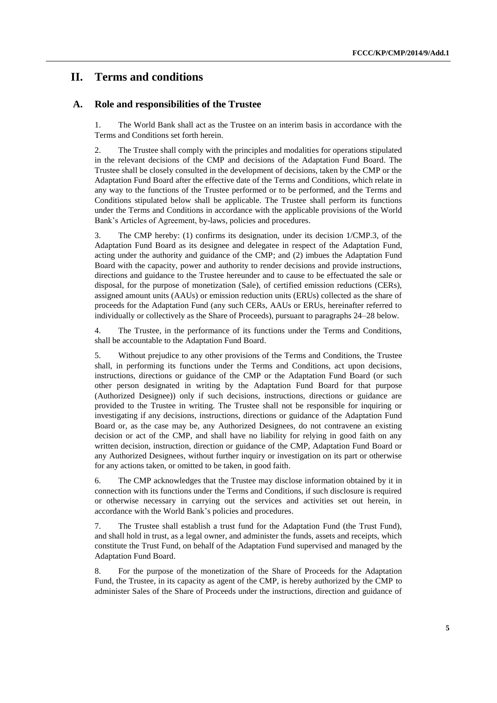## **II. Terms and conditions**

#### **A. Role and responsibilities of the Trustee**

1. The World Bank shall act as the Trustee on an interim basis in accordance with the Terms and Conditions set forth herein.

2. The Trustee shall comply with the principles and modalities for operations stipulated in the relevant decisions of the CMP and decisions of the Adaptation Fund Board. The Trustee shall be closely consulted in the development of decisions, taken by the CMP or the Adaptation Fund Board after the effective date of the Terms and Conditions, which relate in any way to the functions of the Trustee performed or to be performed, and the Terms and Conditions stipulated below shall be applicable. The Trustee shall perform its functions under the Terms and Conditions in accordance with the applicable provisions of the World Bank's Articles of Agreement, by-laws, policies and procedures.

3. The CMP hereby: (1) confirms its designation, under its decision 1/CMP.3, of the Adaptation Fund Board as its designee and delegatee in respect of the Adaptation Fund, acting under the authority and guidance of the CMP; and (2) imbues the Adaptation Fund Board with the capacity, power and authority to render decisions and provide instructions, directions and guidance to the Trustee hereunder and to cause to be effectuated the sale or disposal, for the purpose of monetization (Sale), of certified emission reductions (CERs), assigned amount units (AAUs) or emission reduction units (ERUs) collected as the share of proceeds for the Adaptation Fund (any such CERs, AAUs or ERUs, hereinafter referred to individually or collectively as the Share of Proceeds), pursuant to paragraphs 24–28 below.

4. The Trustee, in the performance of its functions under the Terms and Conditions, shall be accountable to the Adaptation Fund Board.

5. Without prejudice to any other provisions of the Terms and Conditions, the Trustee shall, in performing its functions under the Terms and Conditions, act upon decisions, instructions, directions or guidance of the CMP or the Adaptation Fund Board (or such other person designated in writing by the Adaptation Fund Board for that purpose (Authorized Designee)) only if such decisions, instructions, directions or guidance are provided to the Trustee in writing. The Trustee shall not be responsible for inquiring or investigating if any decisions, instructions, directions or guidance of the Adaptation Fund Board or, as the case may be, any Authorized Designees, do not contravene an existing decision or act of the CMP, and shall have no liability for relying in good faith on any written decision, instruction, direction or guidance of the CMP, Adaptation Fund Board or any Authorized Designees, without further inquiry or investigation on its part or otherwise for any actions taken, or omitted to be taken, in good faith.

6. The CMP acknowledges that the Trustee may disclose information obtained by it in connection with its functions under the Terms and Conditions, if such disclosure is required or otherwise necessary in carrying out the services and activities set out herein, in accordance with the World Bank's policies and procedures.

7. The Trustee shall establish a trust fund for the Adaptation Fund (the Trust Fund), and shall hold in trust, as a legal owner, and administer the funds, assets and receipts, which constitute the Trust Fund, on behalf of the Adaptation Fund supervised and managed by the Adaptation Fund Board.

8. For the purpose of the monetization of the Share of Proceeds for the Adaptation Fund, the Trustee, in its capacity as agent of the CMP, is hereby authorized by the CMP to administer Sales of the Share of Proceeds under the instructions, direction and guidance of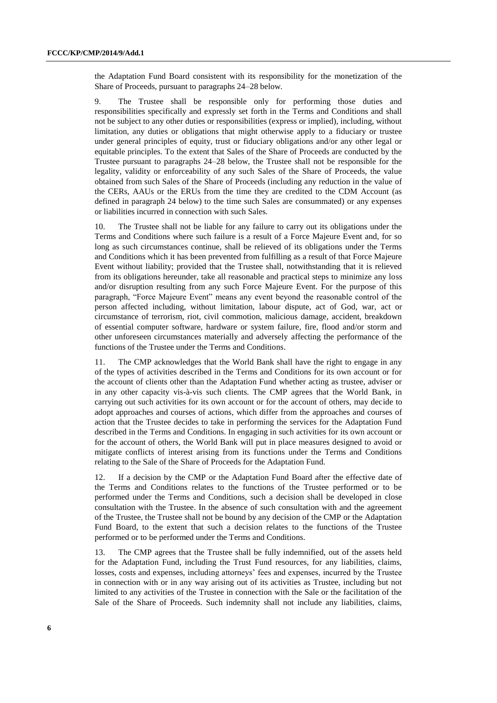the Adaptation Fund Board consistent with its responsibility for the monetization of the Share of Proceeds, pursuant to paragraphs 24–28 below.

9. The Trustee shall be responsible only for performing those duties and responsibilities specifically and expressly set forth in the Terms and Conditions and shall not be subject to any other duties or responsibilities (express or implied), including, without limitation, any duties or obligations that might otherwise apply to a fiduciary or trustee under general principles of equity, trust or fiduciary obligations and/or any other legal or equitable principles. To the extent that Sales of the Share of Proceeds are conducted by the Trustee pursuant to paragraphs 24–28 below, the Trustee shall not be responsible for the legality, validity or enforceability of any such Sales of the Share of Proceeds, the value obtained from such Sales of the Share of Proceeds (including any reduction in the value of the CERs, AAUs or the ERUs from the time they are credited to the CDM Account (as defined in paragraph 24 below) to the time such Sales are consummated) or any expenses or liabilities incurred in connection with such Sales.

10. The Trustee shall not be liable for any failure to carry out its obligations under the Terms and Conditions where such failure is a result of a Force Majeure Event and, for so long as such circumstances continue, shall be relieved of its obligations under the Terms and Conditions which it has been prevented from fulfilling as a result of that Force Majeure Event without liability; provided that the Trustee shall, notwithstanding that it is relieved from its obligations hereunder, take all reasonable and practical steps to minimize any loss and/or disruption resulting from any such Force Majeure Event. For the purpose of this paragraph, "Force Majeure Event" means any event beyond the reasonable control of the person affected including, without limitation, labour dispute, act of God, war, act or circumstance of terrorism, riot, civil commotion, malicious damage, accident, breakdown of essential computer software, hardware or system failure, fire, flood and/or storm and other unforeseen circumstances materially and adversely affecting the performance of the functions of the Trustee under the Terms and Conditions.

11. The CMP acknowledges that the World Bank shall have the right to engage in any of the types of activities described in the Terms and Conditions for its own account or for the account of clients other than the Adaptation Fund whether acting as trustee, adviser or in any other capacity vis-à-vis such clients. The CMP agrees that the World Bank, in carrying out such activities for its own account or for the account of others, may decide to adopt approaches and courses of actions, which differ from the approaches and courses of action that the Trustee decides to take in performing the services for the Adaptation Fund described in the Terms and Conditions. In engaging in such activities for its own account or for the account of others, the World Bank will put in place measures designed to avoid or mitigate conflicts of interest arising from its functions under the Terms and Conditions relating to the Sale of the Share of Proceeds for the Adaptation Fund.

12. If a decision by the CMP or the Adaptation Fund Board after the effective date of the Terms and Conditions relates to the functions of the Trustee performed or to be performed under the Terms and Conditions, such a decision shall be developed in close consultation with the Trustee. In the absence of such consultation with and the agreement of the Trustee, the Trustee shall not be bound by any decision of the CMP or the Adaptation Fund Board, to the extent that such a decision relates to the functions of the Trustee performed or to be performed under the Terms and Conditions.

13. The CMP agrees that the Trustee shall be fully indemnified, out of the assets held for the Adaptation Fund, including the Trust Fund resources, for any liabilities, claims, losses, costs and expenses, including attorneys' fees and expenses, incurred by the Trustee in connection with or in any way arising out of its activities as Trustee, including but not limited to any activities of the Trustee in connection with the Sale or the facilitation of the Sale of the Share of Proceeds. Such indemnity shall not include any liabilities, claims,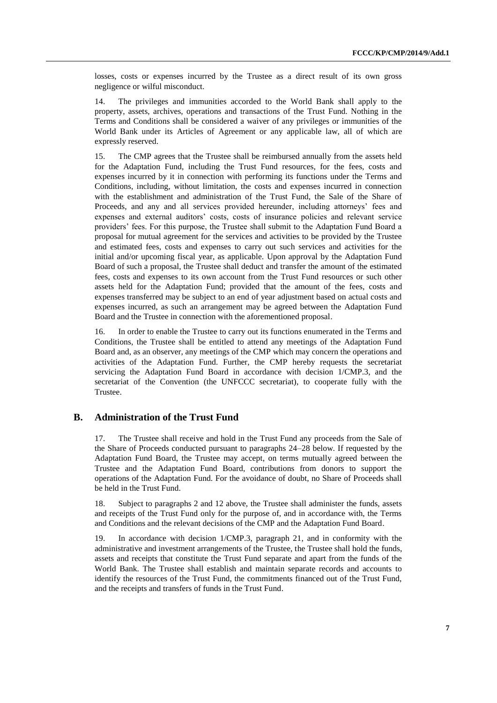losses, costs or expenses incurred by the Trustee as a direct result of its own gross negligence or wilful misconduct.

14. The privileges and immunities accorded to the World Bank shall apply to the property, assets, archives, operations and transactions of the Trust Fund. Nothing in the Terms and Conditions shall be considered a waiver of any privileges or immunities of the World Bank under its Articles of Agreement or any applicable law, all of which are expressly reserved.

15. The CMP agrees that the Trustee shall be reimbursed annually from the assets held for the Adaptation Fund, including the Trust Fund resources, for the fees, costs and expenses incurred by it in connection with performing its functions under the Terms and Conditions, including, without limitation, the costs and expenses incurred in connection with the establishment and administration of the Trust Fund, the Sale of the Share of Proceeds, and any and all services provided hereunder, including attorneys' fees and expenses and external auditors' costs, costs of insurance policies and relevant service providers' fees. For this purpose, the Trustee shall submit to the Adaptation Fund Board a proposal for mutual agreement for the services and activities to be provided by the Trustee and estimated fees, costs and expenses to carry out such services and activities for the initial and/or upcoming fiscal year, as applicable*.* Upon approval by the Adaptation Fund Board of such a proposal, the Trustee shall deduct and transfer the amount of the estimated fees, costs and expenses to its own account from the Trust Fund resources or such other assets held for the Adaptation Fund; provided that the amount of the fees, costs and expenses transferred may be subject to an end of year adjustment based on actual costs and expenses incurred, as such an arrangement may be agreed between the Adaptation Fund Board and the Trustee in connection with the aforementioned proposal.

16. In order to enable the Trustee to carry out its functions enumerated in the Terms and Conditions, the Trustee shall be entitled to attend any meetings of the Adaptation Fund Board and, as an observer, any meetings of the CMP which may concern the operations and activities of the Adaptation Fund. Further, the CMP hereby requests the secretariat servicing the Adaptation Fund Board in accordance with decision 1/CMP.3, and the secretariat of the Convention (the UNFCCC secretariat), to cooperate fully with the Trustee.

#### **B. Administration of the Trust Fund**

17. The Trustee shall receive and hold in the Trust Fund any proceeds from the Sale of the Share of Proceeds conducted pursuant to paragraphs 24–28 below. If requested by the Adaptation Fund Board, the Trustee may accept, on terms mutually agreed between the Trustee and the Adaptation Fund Board, contributions from donors to support the operations of the Adaptation Fund. For the avoidance of doubt, no Share of Proceeds shall be held in the Trust Fund.

18. Subject to paragraphs 2 and 12 above, the Trustee shall administer the funds, assets and receipts of the Trust Fund only for the purpose of, and in accordance with, the Terms and Conditions and the relevant decisions of the CMP and the Adaptation Fund Board.

19. In accordance with decision 1/CMP.3, paragraph 21, and in conformity with the administrative and investment arrangements of the Trustee, the Trustee shall hold the funds, assets and receipts that constitute the Trust Fund separate and apart from the funds of the World Bank. The Trustee shall establish and maintain separate records and accounts to identify the resources of the Trust Fund, the commitments financed out of the Trust Fund, and the receipts and transfers of funds in the Trust Fund.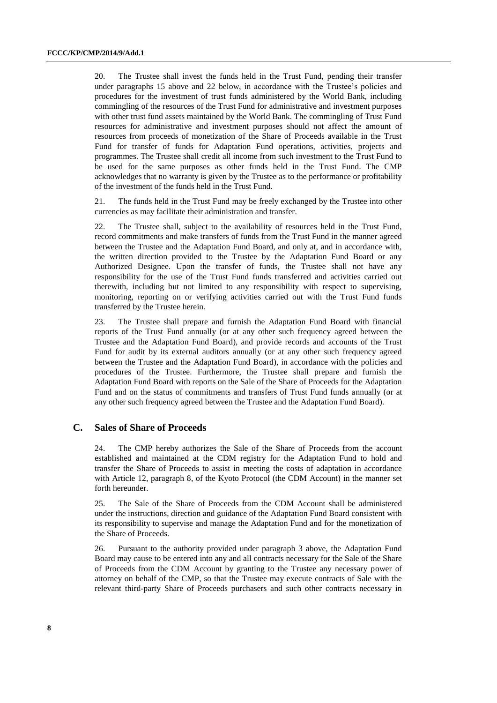20. The Trustee shall invest the funds held in the Trust Fund, pending their transfer under paragraphs 15 above and 22 below, in accordance with the Trustee's policies and procedures for the investment of trust funds administered by the World Bank, including commingling of the resources of the Trust Fund for administrative and investment purposes with other trust fund assets maintained by the World Bank. The commingling of Trust Fund resources for administrative and investment purposes should not affect the amount of resources from proceeds of monetization of the Share of Proceeds available in the Trust Fund for transfer of funds for Adaptation Fund operations, activities, projects and programmes. The Trustee shall credit all income from such investment to the Trust Fund to be used for the same purposes as other funds held in the Trust Fund. The CMP acknowledges that no warranty is given by the Trustee as to the performance or profitability of the investment of the funds held in the Trust Fund.

21. The funds held in the Trust Fund may be freely exchanged by the Trustee into other currencies as may facilitate their administration and transfer.

22. The Trustee shall, subject to the availability of resources held in the Trust Fund, record commitments and make transfers of funds from the Trust Fund in the manner agreed between the Trustee and the Adaptation Fund Board, and only at, and in accordance with, the written direction provided to the Trustee by the Adaptation Fund Board or any Authorized Designee. Upon the transfer of funds, the Trustee shall not have any responsibility for the use of the Trust Fund funds transferred and activities carried out therewith, including but not limited to any responsibility with respect to supervising, monitoring, reporting on or verifying activities carried out with the Trust Fund funds transferred by the Trustee herein.

23. The Trustee shall prepare and furnish the Adaptation Fund Board with financial reports of the Trust Fund annually (or at any other such frequency agreed between the Trustee and the Adaptation Fund Board), and provide records and accounts of the Trust Fund for audit by its external auditors annually (or at any other such frequency agreed between the Trustee and the Adaptation Fund Board), in accordance with the policies and procedures of the Trustee. Furthermore, the Trustee shall prepare and furnish the Adaptation Fund Board with reports on the Sale of the Share of Proceeds for the Adaptation Fund and on the status of commitments and transfers of Trust Fund funds annually (or at any other such frequency agreed between the Trustee and the Adaptation Fund Board).

#### **C. Sales of Share of Proceeds**

24. The CMP hereby authorizes the Sale of the Share of Proceeds from the account established and maintained at the CDM registry for the Adaptation Fund to hold and transfer the Share of Proceeds to assist in meeting the costs of adaptation in accordance with Article 12, paragraph 8, of the Kyoto Protocol (the CDM Account) in the manner set forth hereunder.

25. The Sale of the Share of Proceeds from the CDM Account shall be administered under the instructions, direction and guidance of the Adaptation Fund Board consistent with its responsibility to supervise and manage the Adaptation Fund and for the monetization of the Share of Proceeds.

26. Pursuant to the authority provided under paragraph 3 above, the Adaptation Fund Board may cause to be entered into any and all contracts necessary for the Sale of the Share of Proceeds from the CDM Account by granting to the Trustee any necessary power of attorney on behalf of the CMP, so that the Trustee may execute contracts of Sale with the relevant third-party Share of Proceeds purchasers and such other contracts necessary in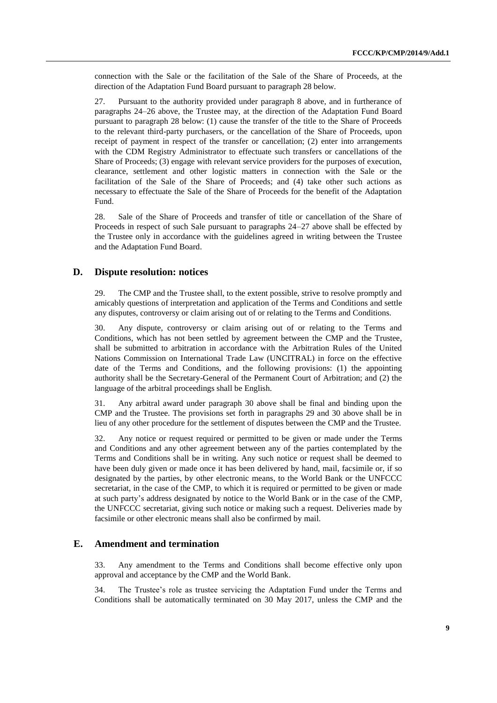connection with the Sale or the facilitation of the Sale of the Share of Proceeds, at the direction of the Adaptation Fund Board pursuant to paragraph 28 below.

27. Pursuant to the authority provided under paragraph 8 above, and in furtherance of paragraphs 24–26 above, the Trustee may, at the direction of the Adaptation Fund Board pursuant to paragraph 28 below: (1) cause the transfer of the title to the Share of Proceeds to the relevant third-party purchasers, or the cancellation of the Share of Proceeds, upon receipt of payment in respect of the transfer or cancellation; (2) enter into arrangements with the CDM Registry Administrator to effectuate such transfers or cancellations of the Share of Proceeds; (3) engage with relevant service providers for the purposes of execution, clearance, settlement and other logistic matters in connection with the Sale or the facilitation of the Sale of the Share of Proceeds; and (4) take other such actions as necessary to effectuate the Sale of the Share of Proceeds for the benefit of the Adaptation Fund.

28. Sale of the Share of Proceeds and transfer of title or cancellation of the Share of Proceeds in respect of such Sale pursuant to paragraphs 24–27 above shall be effected by the Trustee only in accordance with the guidelines agreed in writing between the Trustee and the Adaptation Fund Board.

#### **D. Dispute resolution: notices**

29. The CMP and the Trustee shall, to the extent possible, strive to resolve promptly and amicably questions of interpretation and application of the Terms and Conditions and settle any disputes, controversy or claim arising out of or relating to the Terms and Conditions.

30. Any dispute, controversy or claim arising out of or relating to the Terms and Conditions, which has not been settled by agreement between the CMP and the Trustee, shall be submitted to arbitration in accordance with the Arbitration Rules of the United Nations Commission on International Trade Law (UNCITRAL) in force on the effective date of the Terms and Conditions, and the following provisions: (1) the appointing authority shall be the Secretary-General of the Permanent Court of Arbitration; and (2) the language of the arbitral proceedings shall be English.

31. Any arbitral award under paragraph 30 above shall be final and binding upon the CMP and the Trustee. The provisions set forth in paragraphs 29 and 30 above shall be in lieu of any other procedure for the settlement of disputes between the CMP and the Trustee.

32. Any notice or request required or permitted to be given or made under the Terms and Conditions and any other agreement between any of the parties contemplated by the Terms and Conditions shall be in writing. Any such notice or request shall be deemed to have been duly given or made once it has been delivered by hand, mail, facsimile or, if so designated by the parties, by other electronic means, to the World Bank or the UNFCCC secretariat, in the case of the CMP, to which it is required or permitted to be given or made at such party's address designated by notice to the World Bank or in the case of the CMP, the UNFCCC secretariat, giving such notice or making such a request. Deliveries made by facsimile or other electronic means shall also be confirmed by mail.

#### **E. Amendment and termination**

33. Any amendment to the Terms and Conditions shall become effective only upon approval and acceptance by the CMP and the World Bank.

34. The Trustee's role as trustee servicing the Adaptation Fund under the Terms and Conditions shall be automatically terminated on 30 May 2017, unless the CMP and the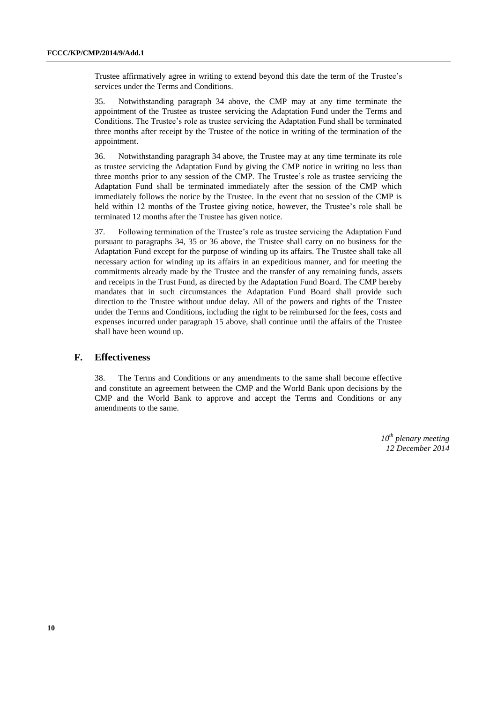Trustee affirmatively agree in writing to extend beyond this date the term of the Trustee's services under the Terms and Conditions.

35. Notwithstanding paragraph 34 above, the CMP may at any time terminate the appointment of the Trustee as trustee servicing the Adaptation Fund under the Terms and Conditions. The Trustee's role as trustee servicing the Adaptation Fund shall be terminated three months after receipt by the Trustee of the notice in writing of the termination of the appointment.

36. Notwithstanding paragraph 34 above, the Trustee may at any time terminate its role as trustee servicing the Adaptation Fund by giving the CMP notice in writing no less than three months prior to any session of the CMP. The Trustee's role as trustee servicing the Adaptation Fund shall be terminated immediately after the session of the CMP which immediately follows the notice by the Trustee. In the event that no session of the CMP is held within 12 months of the Trustee giving notice, however, the Trustee's role shall be terminated 12 months after the Trustee has given notice.

37. Following termination of the Trustee's role as trustee servicing the Adaptation Fund pursuant to paragraphs 34, 35 or 36 above, the Trustee shall carry on no business for the Adaptation Fund except for the purpose of winding up its affairs. The Trustee shall take all necessary action for winding up its affairs in an expeditious manner, and for meeting the commitments already made by the Trustee and the transfer of any remaining funds, assets and receipts in the Trust Fund, as directed by the Adaptation Fund Board. The CMP hereby mandates that in such circumstances the Adaptation Fund Board shall provide such direction to the Trustee without undue delay. All of the powers and rights of the Trustee under the Terms and Conditions, including the right to be reimbursed for the fees, costs and expenses incurred under paragraph 15 above, shall continue until the affairs of the Trustee shall have been wound up.

#### **F. Effectiveness**

38. The Terms and Conditions or any amendments to the same shall become effective and constitute an agreement between the CMP and the World Bank upon decisions by the CMP and the World Bank to approve and accept the Terms and Conditions or any amendments to the same.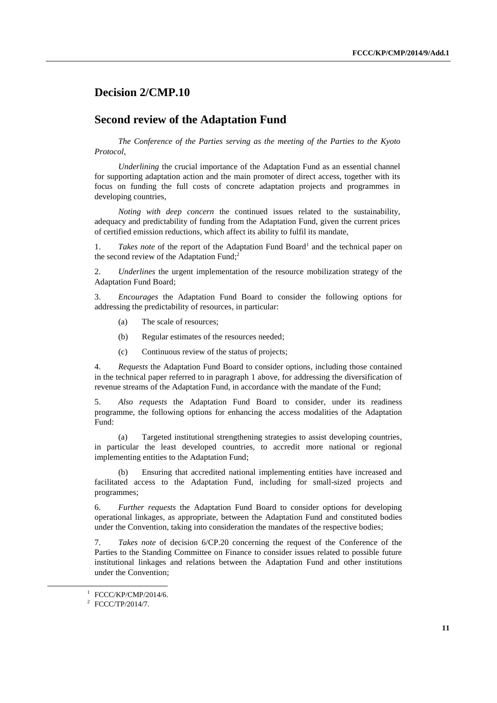### **Decision 2/CMP.10**

#### **Second review of the Adaptation Fund**

*The Conference of the Parties serving as the meeting of the Parties to the Kyoto Protocol*,

*Underlining* the crucial importance of the Adaptation Fund as an essential channel for supporting adaptation action and the main promoter of direct access, together with its focus on funding the full costs of concrete adaptation projects and programmes in developing countries,

*Noting with deep concern* the continued issues related to the sustainability, adequacy and predictability of funding from the Adaptation Fund, given the current prices of certified emission reductions, which affect its ability to fulfil its mandate,

1. Takes note of the report of the Adaptation Fund Board<sup>1</sup> and the technical paper on the second review of the Adaptation Fund;<sup>2</sup>

2. *Underlines* the urgent implementation of the resource mobilization strategy of the Adaptation Fund Board;

3. *Encourages* the Adaptation Fund Board to consider the following options for addressing the predictability of resources, in particular:

- (a) The scale of resources;
- (b) Regular estimates of the resources needed;
- (c) Continuous review of the status of projects;

4. *Requests* the Adaptation Fund Board to consider options, including those contained in the technical paper referred to in paragraph 1 above, for addressing the diversification of revenue streams of the Adaptation Fund, in accordance with the mandate of the Fund;

5. *Also requests* the Adaptation Fund Board to consider, under its readiness programme, the following options for enhancing the access modalities of the Adaptation Fund:

(a) Targeted institutional strengthening strategies to assist developing countries, in particular the least developed countries, to accredit more national or regional implementing entities to the Adaptation Fund;

(b) Ensuring that accredited national implementing entities have increased and facilitated access to the Adaptation Fund, including for small-sized projects and programmes;

6. *Further requests* the Adaptation Fund Board to consider options for developing operational linkages, as appropriate, between the Adaptation Fund and constituted bodies under the Convention, taking into consideration the mandates of the respective bodies;

7. *Takes note* of decision 6/CP.20 concerning the request of the Conference of the Parties to the Standing Committee on Finance to consider issues related to possible future institutional linkages and relations between the Adaptation Fund and other institutions under the Convention;

 $\overline{a}$ 

<sup>1</sup> FCCC/KP/CMP/2014/6.

<sup>&</sup>lt;sup>2</sup> FCCC/TP/2014/7.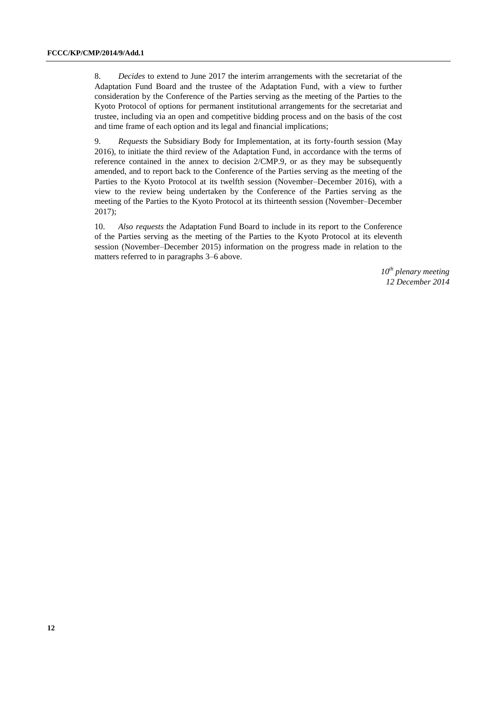8. *Decides* to extend to June 2017 the interim arrangements with the secretariat of the Adaptation Fund Board and the trustee of the Adaptation Fund, with a view to further consideration by the Conference of the Parties serving as the meeting of the Parties to the Kyoto Protocol of options for permanent institutional arrangements for the secretariat and trustee, including via an open and competitive bidding process and on the basis of the cost and time frame of each option and its legal and financial implications;

9. *Requests* the Subsidiary Body for Implementation, at its forty-fourth session (May 2016), to initiate the third review of the Adaptation Fund, in accordance with the terms of reference contained in the annex to decision 2/CMP.9, or as they may be subsequently amended, and to report back to the Conference of the Parties serving as the meeting of the Parties to the Kyoto Protocol at its twelfth session (November–December 2016), with a view to the review being undertaken by the Conference of the Parties serving as the meeting of the Parties to the Kyoto Protocol at its thirteenth session (November–December 2017);

10. *Also requests* the Adaptation Fund Board to include in its report to the Conference of the Parties serving as the meeting of the Parties to the Kyoto Protocol at its eleventh session (November–December 2015) information on the progress made in relation to the matters referred to in paragraphs 3–6 above.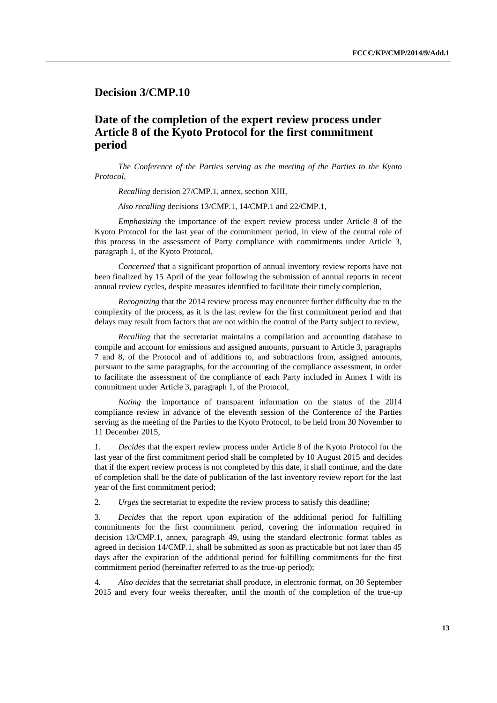### **Decision 3/CMP.10**

## **Date of the completion of the expert review process under Article 8 of the Kyoto Protocol for the first commitment period**

*The Conference of the Parties serving as the meeting of the Parties to the Kyoto Protocol*,

*Recalling* decision 27/CMP.1, annex, section XIII,

*Also recalling* decisions 13/CMP.1, 14/CMP.1 and 22/CMP.1,

*Emphasizing* the importance of the expert review process under Article 8 of the Kyoto Protocol for the last year of the commitment period, in view of the central role of this process in the assessment of Party compliance with commitments under Article 3, paragraph 1, of the Kyoto Protocol,

*Concerned* that a significant proportion of annual inventory review reports have not been finalized by 15 April of the year following the submission of annual reports in recent annual review cycles, despite measures identified to facilitate their timely completion,

*Recognizing* that the 2014 review process may encounter further difficulty due to the complexity of the process, as it is the last review for the first commitment period and that delays may result from factors that are not within the control of the Party subject to review,

*Recalling* that the secretariat maintains a compilation and accounting database to compile and account for emissions and assigned amounts, pursuant to Article 3, paragraphs 7 and 8, of the Protocol and of additions to, and subtractions from, assigned amounts, pursuant to the same paragraphs, for the accounting of the compliance assessment, in order to facilitate the assessment of the compliance of each Party included in Annex I with its commitment under Article 3, paragraph 1, of the Protocol,

*Noting* the importance of transparent information on the status of the 2014 compliance review in advance of the eleventh session of the Conference of the Parties serving as the meeting of the Parties to the Kyoto Protocol, to be held from 30 November to 11 December 2015,

1. *Decides* that the expert review process under Article 8 of the Kyoto Protocol for the last year of the first commitment period shall be completed by 10 August 2015 and decides that if the expert review process is not completed by this date, it shall continue, and the date of completion shall be the date of publication of the last inventory review report for the last year of the first commitment period;

2. *Urges* the secretariat to expedite the review process to satisfy this deadline;

3. *Decides* that the report upon expiration of the additional period for fulfilling commitments for the first commitment period, covering the information required in decision 13/CMP.1, annex, paragraph 49, using the standard electronic format tables as agreed in decision 14/CMP.1, shall be submitted as soon as practicable but not later than 45 days after the expiration of the additional period for fulfilling commitments for the first commitment period (hereinafter referred to as the true-up period);

4. *Also decides* that the secretariat shall produce, in electronic format, on 30 September 2015 and every four weeks thereafter, until the month of the completion of the true-up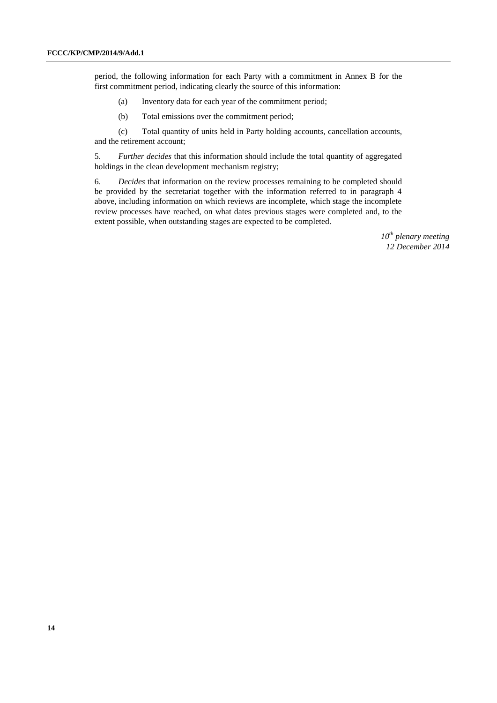period, the following information for each Party with a commitment in Annex B for the first commitment period, indicating clearly the source of this information:

- (a) Inventory data for each year of the commitment period;
- (b) Total emissions over the commitment period;

(c) Total quantity of units held in Party holding accounts, cancellation accounts, and the retirement account;

5. *Further decides* that this information should include the total quantity of aggregated holdings in the clean development mechanism registry;

6. *Decides* that information on the review processes remaining to be completed should be provided by the secretariat together with the information referred to in paragraph 4 above, including information on which reviews are incomplete, which stage the incomplete review processes have reached, on what dates previous stages were completed and, to the extent possible, when outstanding stages are expected to be completed.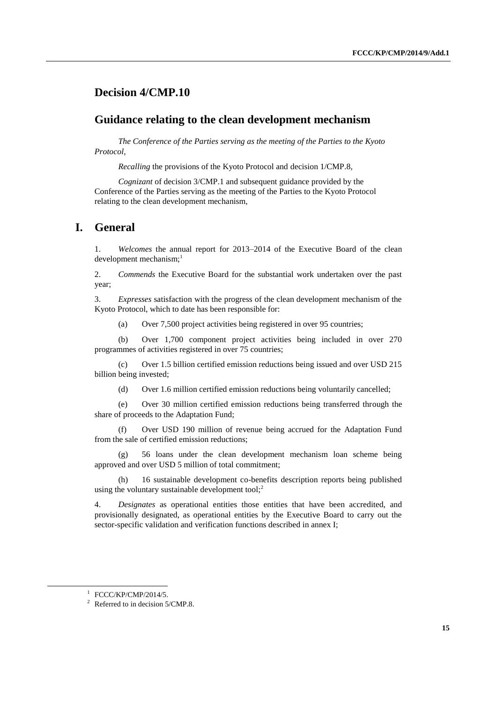### **Decision 4/CMP.10**

#### **Guidance relating to the clean development mechanism**

*The Conference of the Parties serving as the meeting of the Parties to the Kyoto Protocol*,

*Recalling* the provisions of the Kyoto Protocol and decision 1/CMP.8,

*Cognizant* of decision 3/CMP.1 and subsequent guidance provided by the Conference of the Parties serving as the meeting of the Parties to the Kyoto Protocol relating to the clean development mechanism,

#### **I. General**

1. *Welcomes* the annual report for 2013–2014 of the Executive Board of the clean development mechanism;<sup>1</sup>

2. *Commends* the Executive Board for the substantial work undertaken over the past year;

3. *Expresses* satisfaction with the progress of the clean development mechanism of the Kyoto Protocol, which to date has been responsible for:

(a) Over 7,500 project activities being registered in over 95 countries;

(b) Over 1,700 component project activities being included in over 270 programmes of activities registered in over 75 countries;

(c) Over 1.5 billion certified emission reductions being issued and over USD 215 billion being invested;

(d) Over 1.6 million certified emission reductions being voluntarily cancelled;

(e) Over 30 million certified emission reductions being transferred through the share of proceeds to the Adaptation Fund;

(f) Over USD 190 million of revenue being accrued for the Adaptation Fund from the sale of certified emission reductions;

(g) 56 loans under the clean development mechanism loan scheme being approved and over USD 5 million of total commitment;

(h) 16 sustainable development co-benefits description reports being published using the voluntary sustainable development tool;<sup>2</sup>

4. *Designates* as operational entities those entities that have been accredited, and provisionally designated, as operational entities by the Executive Board to carry out the sector-specific validation and verification functions described in annex I;

 $\overline{a}$ 

<sup>1</sup> FCCC/KP/CMP/2014/5.

<sup>&</sup>lt;sup>2</sup> Referred to in decision  $5/CMP.8$ .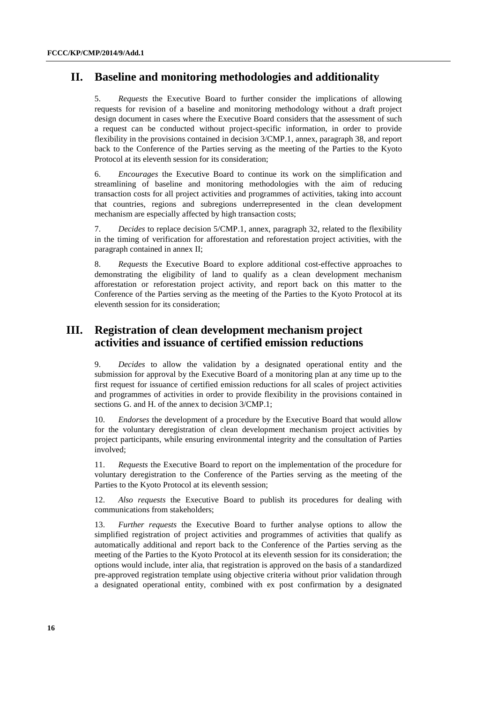### **II. Baseline and monitoring methodologies and additionality**

5. *Requests* the Executive Board to further consider the implications of allowing requests for revision of a baseline and monitoring methodology without a draft project design document in cases where the Executive Board considers that the assessment of such a request can be conducted without project-specific information, in order to provide flexibility in the provisions contained in decision 3/CMP.1, annex, paragraph 38, and report back to the Conference of the Parties serving as the meeting of the Parties to the Kyoto Protocol at its eleventh session for its consideration;

6. *Encourages* the Executive Board to continue its work on the simplification and streamlining of baseline and monitoring methodologies with the aim of reducing transaction costs for all project activities and programmes of activities, taking into account that countries, regions and subregions underrepresented in the clean development mechanism are especially affected by high transaction costs;

7. *Decides* to replace decision 5/CMP.1, annex, paragraph 32, related to the flexibility in the timing of verification for afforestation and reforestation project activities, with the paragraph contained in annex II;

8. *Requests* the Executive Board to explore additional cost-effective approaches to demonstrating the eligibility of land to qualify as a clean development mechanism afforestation or reforestation project activity, and report back on this matter to the Conference of the Parties serving as the meeting of the Parties to the Kyoto Protocol at its eleventh session for its consideration;

## **III. Registration of clean development mechanism project activities and issuance of certified emission reductions**

9. *Decides* to allow the validation by a designated operational entity and the submission for approval by the Executive Board of a monitoring plan at any time up to the first request for issuance of certified emission reductions for all scales of project activities and programmes of activities in order to provide flexibility in the provisions contained in sections G. and H. of the annex to decision 3/CMP.1;

10. *Endorses* the development of a procedure by the Executive Board that would allow for the voluntary deregistration of clean development mechanism project activities by project participants, while ensuring environmental integrity and the consultation of Parties involved;

11. *Requests* the Executive Board to report on the implementation of the procedure for voluntary deregistration to the Conference of the Parties serving as the meeting of the Parties to the Kyoto Protocol at its eleventh session;

12. *Also requests* the Executive Board to publish its procedures for dealing with communications from stakeholders;

13. *Further requests* the Executive Board to further analyse options to allow the simplified registration of project activities and programmes of activities that qualify as automatically additional and report back to the Conference of the Parties serving as the meeting of the Parties to the Kyoto Protocol at its eleventh session for its consideration; the options would include, inter alia, that registration is approved on the basis of a standardized pre-approved registration template using objective criteria without prior validation through a designated operational entity, combined with ex post confirmation by a designated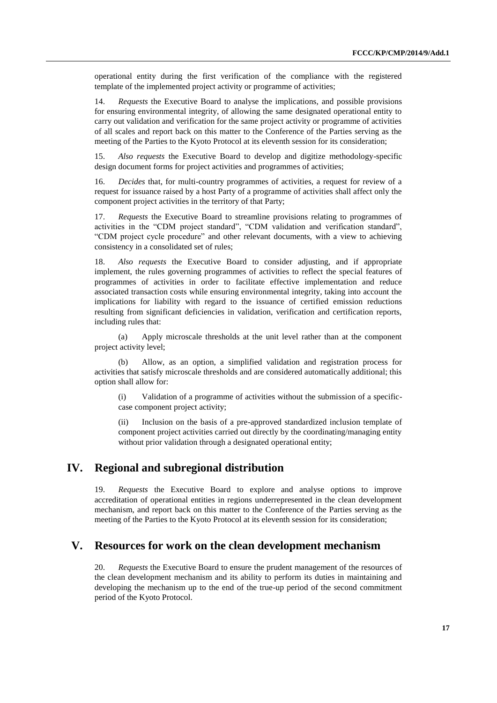operational entity during the first verification of the compliance with the registered template of the implemented project activity or programme of activities;

14. *Requests* the Executive Board to analyse the implications, and possible provisions for ensuring environmental integrity, of allowing the same designated operational entity to carry out validation and verification for the same project activity or programme of activities of all scales and report back on this matter to the Conference of the Parties serving as the meeting of the Parties to the Kyoto Protocol at its eleventh session for its consideration;

15. *Also requests* the Executive Board to develop and digitize methodology-specific design document forms for project activities and programmes of activities;

16. *Decides* that, for multi-country programmes of activities, a request for review of a request for issuance raised by a host Party of a programme of activities shall affect only the component project activities in the territory of that Party;

17. *Requests* the Executive Board to streamline provisions relating to programmes of activities in the "CDM project standard", "CDM validation and verification standard", "CDM project cycle procedure" and other relevant documents, with a view to achieving consistency in a consolidated set of rules;

18. *Also requests* the Executive Board to consider adjusting, and if appropriate implement, the rules governing programmes of activities to reflect the special features of programmes of activities in order to facilitate effective implementation and reduce associated transaction costs while ensuring environmental integrity, taking into account the implications for liability with regard to the issuance of certified emission reductions resulting from significant deficiencies in validation, verification and certification reports, including rules that:

(a) Apply microscale thresholds at the unit level rather than at the component project activity level;

(b) Allow, as an option, a simplified validation and registration process for activities that satisfy microscale thresholds and are considered automatically additional; this option shall allow for:

(i) Validation of a programme of activities without the submission of a specificcase component project activity;

(ii) Inclusion on the basis of a pre-approved standardized inclusion template of component project activities carried out directly by the coordinating/managing entity without prior validation through a designated operational entity;

### **IV. Regional and subregional distribution**

19. *Requests* the Executive Board to explore and analyse options to improve accreditation of operational entities in regions underrepresented in the clean development mechanism, and report back on this matter to the Conference of the Parties serving as the meeting of the Parties to the Kyoto Protocol at its eleventh session for its consideration;

## **V. Resources for work on the clean development mechanism**

20. *Requests* the Executive Board to ensure the prudent management of the resources of the clean development mechanism and its ability to perform its duties in maintaining and developing the mechanism up to the end of the true-up period of the second commitment period of the Kyoto Protocol.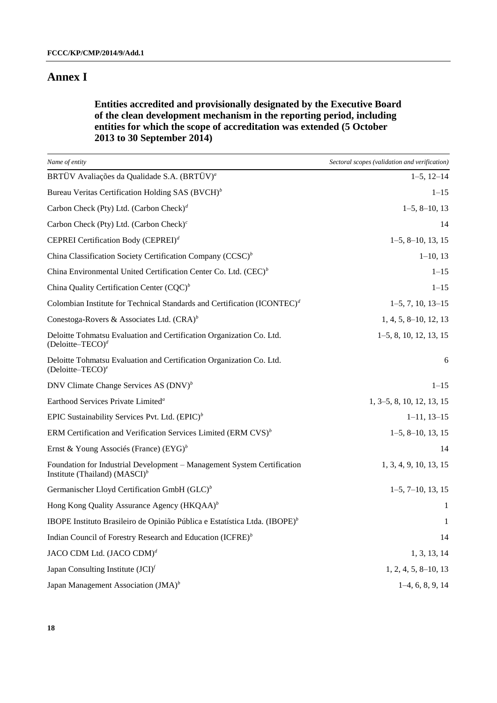### **Annex I**

**Entities accredited and provisionally designated by the Executive Board of the clean development mechanism in the reporting period, including entities for which the scope of accreditation was extended (5 October 2013 to 30 September 2014)**

| Name of entity                                                                                                       | Sectoral scopes (validation and verification) |
|----------------------------------------------------------------------------------------------------------------------|-----------------------------------------------|
| BRTÜV Avaliações da Qualidade S.A. (BRTÜV) <sup>a</sup>                                                              | $1-5$ , $12-14$                               |
| Bureau Veritas Certification Holding SAS (BVCH) <sup>b</sup>                                                         | $1 - 15$                                      |
| Carbon Check (Pty) Ltd. (Carbon Check) <sup>d</sup>                                                                  | $1-5, 8-10, 13$                               |
| Carbon Check (Pty) Ltd. (Carbon Check) $c$                                                                           | 14                                            |
| CEPREI Certification Body (CEPREI) <sup>d</sup>                                                                      | $1-5, 8-10, 13, 15$                           |
| China Classification Society Certification Company (CCSC) <sup>b</sup>                                               | $1-10, 13$                                    |
| China Environmental United Certification Center Co. Ltd. $(CEC)^{b}$                                                 | $1 - 15$                                      |
| China Quality Certification Center $(CQC)^b$                                                                         | $1 - 15$                                      |
| Colombian Institute for Technical Standards and Certification $(ICONTEC)^d$                                          | $1-5, 7, 10, 13-15$                           |
| Conestoga-Rovers & Associates Ltd. $(CRA)^b$                                                                         | $1, 4, 5, 8\n-10, 12, 13$                     |
| Deloitte Tohmatsu Evaluation and Certification Organization Co. Ltd.<br>(Deloitte-TECO) <sup>d</sup>                 | $1-5, 8, 10, 12, 13, 15$                      |
| Deloitte Tohmatsu Evaluation and Certification Organization Co. Ltd.<br>(Deloitte-TECO) <sup>e</sup>                 | 6                                             |
| DNV Climate Change Services AS $(DNV)^b$                                                                             | $1 - 15$                                      |
| Earthood Services Private Limited <sup>a</sup>                                                                       | $1, 3-5, 8, 10, 12, 13, 15$                   |
| EPIC Sustainability Services Pvt. Ltd. $(EPIC)^b$                                                                    | $1-11, 13-15$                                 |
| ERM Certification and Verification Services Limited (ERM $CVS$ ) <sup>b</sup>                                        | $1-5, 8-10, 13, 15$                           |
| Ernst & Young Associés (France) $(EYG)^b$                                                                            | 14                                            |
| Foundation for Industrial Development - Management System Certification<br>Institute (Thailand) (MASCI) <sup>b</sup> | 1, 3, 4, 9, 10, 13, 15                        |
| Germanischer Lloyd Certification GmbH $(GLC)^b$                                                                      | $1-5, 7-10, 13, 15$                           |
| Hong Kong Quality Assurance Agency (HKQAA) <sup>b</sup>                                                              | 1                                             |
| IBOPE Instituto Brasileiro de Opinião Pública e Estatística Ltda. (IBOPE) <sup>b</sup>                               | 1                                             |
| Indian Council of Forestry Research and Education (ICFRE) <sup>b</sup>                                               | 14                                            |
| JACO CDM Ltd. (JACO CDM) <sup>d</sup>                                                                                | 1, 3, 13, 14                                  |
| Japan Consulting Institute $(JCI)^f$                                                                                 | $1, 2, 4, 5, 8\n-10, 13$                      |
| Japan Management Association $(JMA)^b$                                                                               | $1-4, 6, 8, 9, 14$                            |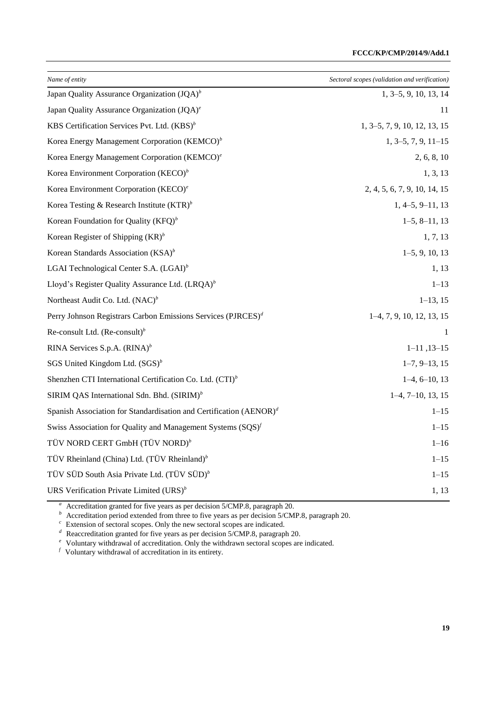| Name of entity                                                           | Sectoral scopes (validation and verification) |
|--------------------------------------------------------------------------|-----------------------------------------------|
| Japan Quality Assurance Organization $(JQA)^{b}$                         | 1, 3–5, 9, 10, 13, 14                         |
| Japan Quality Assurance Organization (JQA) <sup>e</sup>                  | 11                                            |
| KBS Certification Services Pvt. Ltd. (KBS) <sup>b</sup>                  | 1, 3–5, 7, 9, 10, 12, 13, 15                  |
| Korea Energy Management Corporation (KEMCO) <sup>b</sup>                 | $1, 3-5, 7, 9, 11-15$                         |
| Korea Energy Management Corporation (KEMCO) <sup>e</sup>                 | 2, 6, 8, 10                                   |
| Korea Environment Corporation (KECO) <sup>b</sup>                        | 1, 3, 13                                      |
| Korea Environment Corporation (KECO) <sup>e</sup>                        | 2, 4, 5, 6, 7, 9, 10, 14, 15                  |
| Korea Testing & Research Institute $(KTR)^b$                             | $1, 4-5, 9-11, 13$                            |
| Korean Foundation for Quality $(KFQ)^b$                                  | $1-5, 8-11, 13$                               |
| Korean Register of Shipping $(KR)^b$                                     | 1, 7, 13                                      |
| Korean Standards Association $(KSA)^b$                                   | $1-5, 9, 10, 13$                              |
| LGAI Technological Center S.A. (LGAI) <sup>b</sup>                       | 1, 13                                         |
| Lloyd's Register Quality Assurance Ltd. (LRQA) <sup>b</sup>              | $1 - 13$                                      |
| Northeast Audit Co. Ltd. $(NAC)^b$                                       | $1-13, 15$                                    |
| Perry Johnson Registrars Carbon Emissions Services (PJRCES) <sup>d</sup> | $1-4, 7, 9, 10, 12, 13, 15$                   |
| Re-consult Ltd. $(Re\text{-constil})^b$                                  | -1                                            |
| RINA Services S.p.A. $(RINA)^b$                                          | $1-11, 13-15$                                 |
| SGS United Kingdom Ltd. $(SGS)^b$                                        | $1-7, 9-13, 15$                               |
| Shenzhen CTI International Certification Co. Ltd. (CTI) <sup>b</sup>     | $1-4, 6-10, 13$                               |
| SIRIM QAS International Sdn. Bhd. $(SIRIM)^b$                            | $1-4, 7-10, 13, 15$                           |
| Spanish Association for Standardisation and Certification $(AENOR)^d$    | $1 - 15$                                      |
| Swiss Association for Quality and Management Systems $(SQS)^f$           | $1 - 15$                                      |
| TÜV NORD CERT GmbH (TÜV NORD) <sup>b</sup>                               | $1 - 16$                                      |
| TÜV Rheinland (China) Ltd. (TÜV Rheinland) <sup>b</sup>                  | $1 - 15$                                      |
| TÜV SÜD South Asia Private Ltd. (TÜV SÜD) <sup>b</sup>                   | $1 - 15$                                      |
| URS Verification Private Limited $(URS)^{b}$                             | 1, 13                                         |

<sup>a</sup> Accreditation granted for five years as per decision 5/CMP.8, paragraph 20.

 *Accreditation period extended from three to five years as per decision 5/CMP.8, paragraph 20.* 

 $c$  Extension of sectoral scopes. Only the new sectoral scopes are indicated.

 $^d$  Reaccreditation granted for five years as per decision 5/CMP.8, paragraph 20.

<sup>e</sup> Voluntary withdrawal of accreditation. Only the withdrawn sectoral scopes are indicated.

 $f$  Voluntary withdrawal of accreditation in its entirety.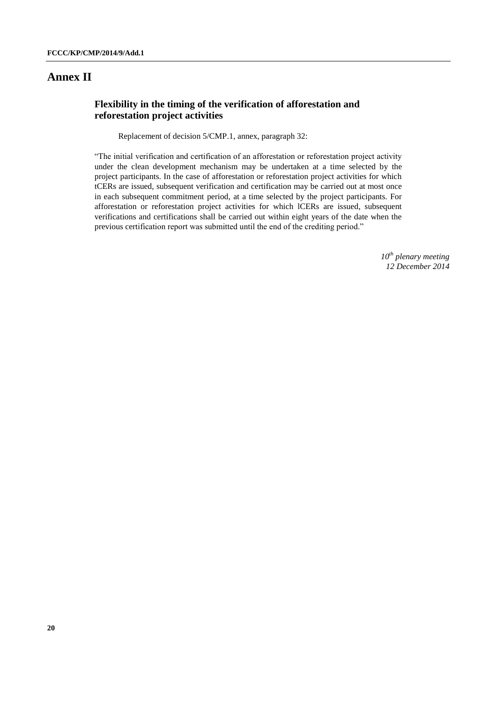#### **Annex II**

#### **Flexibility in the timing of the verification of afforestation and reforestation project activities**

Replacement of decision 5/CMP.1, annex, paragraph 32:

"The initial verification and certification of an afforestation or reforestation project activity under the clean development mechanism may be undertaken at a time selected by the project participants. In the case of afforestation or reforestation project activities for which tCERs are issued, subsequent verification and certification may be carried out at most once in each subsequent commitment period, at a time selected by the project participants. For afforestation or reforestation project activities for which lCERs are issued, subsequent verifications and certifications shall be carried out within eight years of the date when the previous certification report was submitted until the end of the crediting period."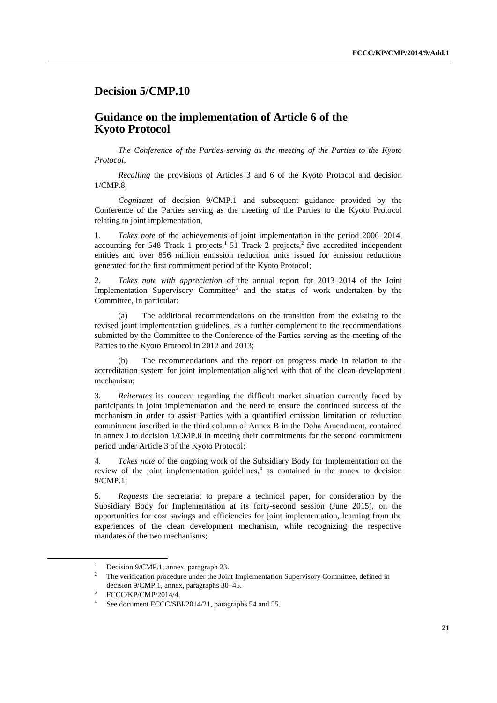## **Decision 5/CMP.10**

#### **Guidance on the implementation of Article 6 of the Kyoto Protocol**

*The Conference of the Parties serving as the meeting of the Parties to the Kyoto Protocol*,

*Recalling* the provisions of Articles 3 and 6 of the Kyoto Protocol and decision 1/CMP.8,

*Cognizant* of decision 9/CMP.1 and subsequent guidance provided by the Conference of the Parties serving as the meeting of the Parties to the Kyoto Protocol relating to joint implementation,

1. *Takes note* of the achievements of joint implementation in the period 2006–2014, accounting for 548 Track 1 projects,<sup>1</sup> 51 Track 2 projects,<sup>2</sup> five accredited independent entities and over 856 million emission reduction units issued for emission reductions generated for the first commitment period of the Kyoto Protocol;

2. *Takes note with appreciation* of the annual report for 2013–2014 of the Joint Implementation Supervisory Committee<sup>3</sup> and the status of work undertaken by the Committee, in particular:

(a) The additional recommendations on the transition from the existing to the revised joint implementation guidelines, as a further complement to the recommendations submitted by the Committee to the Conference of the Parties serving as the meeting of the Parties to the Kyoto Protocol in 2012 and 2013;

The recommendations and the report on progress made in relation to the accreditation system for joint implementation aligned with that of the clean development mechanism;

3. *Reiterates* its concern regarding the difficult market situation currently faced by participants in joint implementation and the need to ensure the continued success of the mechanism in order to assist Parties with a quantified emission limitation or reduction commitment inscribed in the third column of Annex B in the Doha Amendment, contained in annex I to decision 1/CMP.8 in meeting their commitments for the second commitment period under Article 3 of the Kyoto Protocol;

4. *Takes note* of the ongoing work of the Subsidiary Body for Implementation on the review of the joint implementation guidelines, 4 as contained in the annex to decision 9/CMP.1;

5. *Requests* the secretariat to prepare a technical paper, for consideration by the Subsidiary Body for Implementation at its forty-second session (June 2015), on the opportunities for cost savings and efficiencies for joint implementation, learning from the experiences of the clean development mechanism, while recognizing the respective mandates of the two mechanisms;

 $\overline{a}$ 

Decision 9/CMP.1, annex, paragraph 23.

<sup>2</sup> The verification procedure under the Joint Implementation Supervisory Committee, defined in decision 9/CMP.1, annex, paragraphs 30–45.

<sup>3</sup> FCCC/KP/CMP/2014/4.

<sup>4</sup> See document FCCC/SBI/2014/21, paragraphs 54 and 55.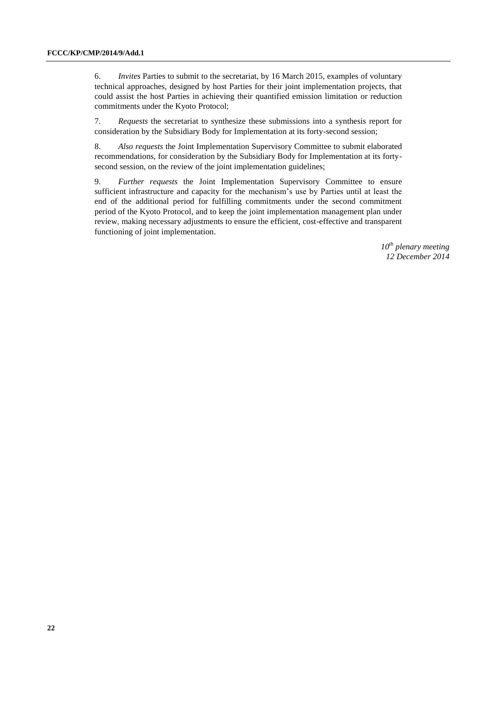6. *Invites* Parties to submit to the secretariat, by 16 March 2015, examples of voluntary technical approaches, designed by host Parties for their joint implementation projects, that could assist the host Parties in achieving their quantified emission limitation or reduction commitments under the Kyoto Protocol;

7. *Requests* the secretariat to synthesize these submissions into a synthesis report for consideration by the Subsidiary Body for Implementation at its forty-second session;

8. *Also requests* the Joint Implementation Supervisory Committee to submit elaborated recommendations, for consideration by the Subsidiary Body for Implementation at its fortysecond session, on the review of the joint implementation guidelines;

9. *Further requests* the Joint Implementation Supervisory Committee to ensure sufficient infrastructure and capacity for the mechanism's use by Parties until at least the end of the additional period for fulfilling commitments under the second commitment period of the Kyoto Protocol, and to keep the joint implementation management plan under review, making necessary adjustments to ensure the efficient, cost-effective and transparent functioning of joint implementation.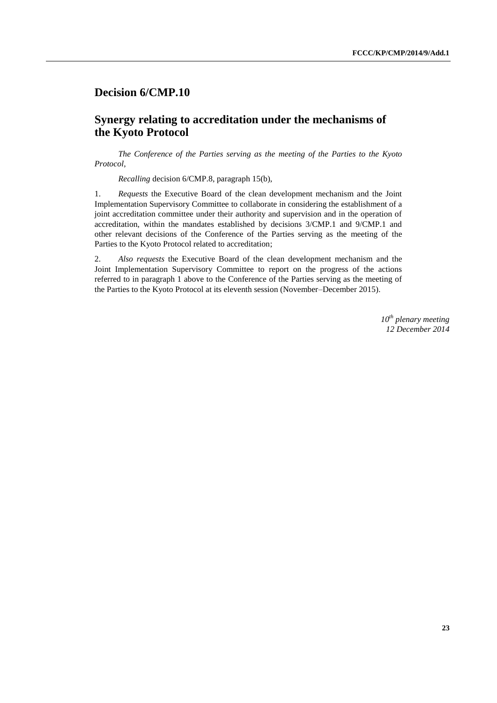### **Decision 6/CMP.10**

## **Synergy relating to accreditation under the mechanisms of the Kyoto Protocol**

*The Conference of the Parties serving as the meeting of the Parties to the Kyoto Protocol*,

*Recalling* decision 6/CMP.8, paragraph 15(b),

1. *Requests* the Executive Board of the clean development mechanism and the Joint Implementation Supervisory Committee to collaborate in considering the establishment of a joint accreditation committee under their authority and supervision and in the operation of accreditation, within the mandates established by decisions 3/CMP.1 and 9/CMP.1 and other relevant decisions of the Conference of the Parties serving as the meeting of the Parties to the Kyoto Protocol related to accreditation;

2. *Also requests* the Executive Board of the clean development mechanism and the Joint Implementation Supervisory Committee to report on the progress of the actions referred to in paragraph 1 above to the Conference of the Parties serving as the meeting of the Parties to the Kyoto Protocol at its eleventh session (November–December 2015).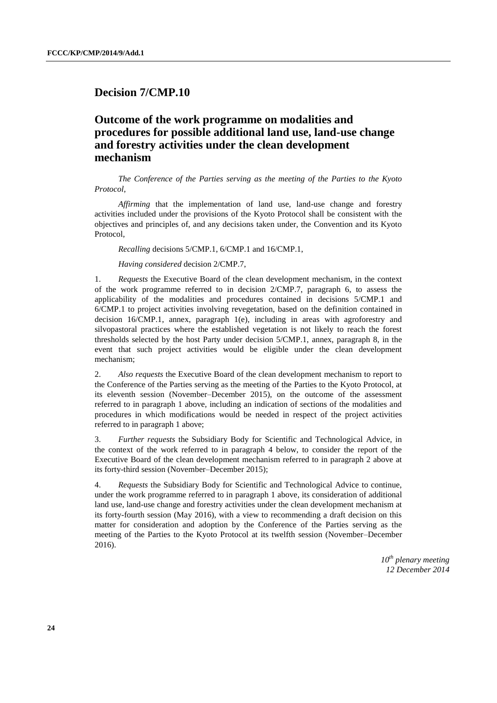#### **Decision 7/CMP.10**

## **Outcome of the work programme on modalities and procedures for possible additional land use, land-use change and forestry activities under the clean development mechanism**

*The Conference of the Parties serving as the meeting of the Parties to the Kyoto Protocol*,

*Affirming* that the implementation of land use, land-use change and forestry activities included under the provisions of the Kyoto Protocol shall be consistent with the objectives and principles of, and any decisions taken under, the Convention and its Kyoto Protocol,

*Recalling* decisions 5/CMP.1, 6/CMP.1 and 16/CMP.1,

*Having considered* decision 2/CMP.7,

1. *Requests* the Executive Board of the clean development mechanism, in the context of the work programme referred to in decision 2/CMP.7, paragraph 6, to assess the applicability of the modalities and procedures contained in decisions 5/CMP.1 and 6/CMP.1 to project activities involving revegetation, based on the definition contained in decision 16/CMP.1, annex, paragraph 1(e), including in areas with agroforestry and silvopastoral practices where the established vegetation is not likely to reach the forest thresholds selected by the host Party under decision 5/CMP.1, annex, paragraph 8, in the event that such project activities would be eligible under the clean development mechanism;

2. *Also requests* the Executive Board of the clean development mechanism to report to the Conference of the Parties serving as the meeting of the Parties to the Kyoto Protocol, at its eleventh session (November–December 2015), on the outcome of the assessment referred to in paragraph 1 above, including an indication of sections of the modalities and procedures in which modifications would be needed in respect of the project activities referred to in paragraph 1 above;

3. *Further requests* the Subsidiary Body for Scientific and Technological Advice, in the context of the work referred to in paragraph 4 below, to consider the report of the Executive Board of the clean development mechanism referred to in paragraph 2 above at its forty-third session (November–December 2015);

4. *Requests* the Subsidiary Body for Scientific and Technological Advice to continue, under the work programme referred to in paragraph 1 above, its consideration of additional land use, land-use change and forestry activities under the clean development mechanism at its forty-fourth session (May 2016), with a view to recommending a draft decision on this matter for consideration and adoption by the Conference of the Parties serving as the meeting of the Parties to the Kyoto Protocol at its twelfth session (November–December 2016).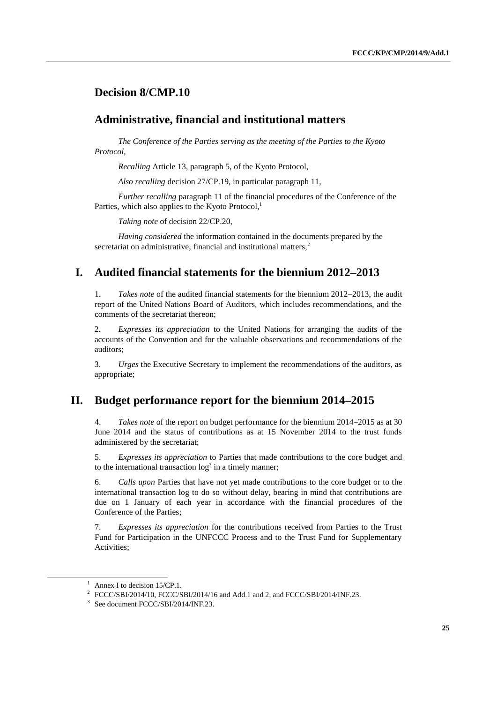## **Decision 8/CMP.10**

#### **Administrative, financial and institutional matters**

*The Conference of the Parties serving as the meeting of the Parties to the Kyoto Protocol*,

*Recalling* Article 13, paragraph 5, of the Kyoto Protocol,

*Also recalling* decision 27/CP.19, in particular paragraph 11,

*Further recalling* paragraph 11 of the financial procedures of the Conference of the Parties, which also applies to the Kyoto Protocol,<sup>1</sup>

*Taking note* of decision 22/CP.20,

*Having considered* the information contained in the documents prepared by the secretariat on administrative, financial and institutional matters.<sup>2</sup>

### **I. Audited financial statements for the biennium 2012–2013**

1. *Takes note* of the audited financial statements for the biennium 2012–2013, the audit report of the United Nations Board of Auditors, which includes recommendations, and the comments of the secretariat thereon;

2. *Expresses its appreciation* to the United Nations for arranging the audits of the accounts of the Convention and for the valuable observations and recommendations of the auditors;

3. *Urges* the Executive Secretary to implement the recommendations of the auditors, as appropriate;

#### **II. Budget performance report for the biennium 2014–2015**

4. *Takes note* of the report on budget performance for the biennium 2014–2015 as at 30 June 2014 and the status of contributions as at 15 November 2014 to the trust funds administered by the secretariat;

5. *Expresses its appreciation* to Parties that made contributions to the core budget and to the international transaction  $log<sup>3</sup>$  in a timely manner;

6. *Calls upon* Parties that have not yet made contributions to the core budget or to the international transaction log to do so without delay, bearing in mind that contributions are due on 1 January of each year in accordance with the financial procedures of the Conference of the Parties;

7. *Expresses its appreciation* for the contributions received from Parties to the Trust Fund for Participation in the UNFCCC Process and to the Trust Fund for Supplementary Activities;

-

<sup>&</sup>lt;sup>1</sup> Annex I to decision  $15/CP.1$ .

<sup>&</sup>lt;sup>2</sup> FCCC/SBI/2014/10, FCCC/SBI/2014/16 and Add.1 and 2, and FCCC/SBI/2014/INF.23.

<sup>3</sup> See document FCCC/SBI/2014/INF.23.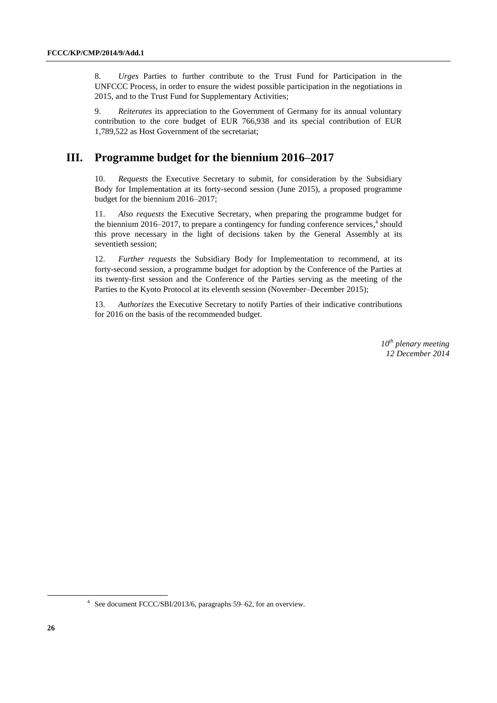8. *Urges* Parties to further contribute to the Trust Fund for Participation in the UNFCCC Process, in order to ensure the widest possible participation in the negotiations in 2015, and to the Trust Fund for Supplementary Activities;

9. *Reiterates* its appreciation to the Government of Germany for its annual voluntary contribution to the core budget of EUR 766,938 and its special contribution of EUR 1,789,522 as Host Government of the secretariat;

## **III. Programme budget for the biennium 2016–2017**

10. *Requests* the Executive Secretary to submit, for consideration by the Subsidiary Body for Implementation at its forty-second session (June 2015), a proposed programme budget for the biennium 2016–2017;

11. *Also requests* the Executive Secretary, when preparing the programme budget for the biennium 2016–2017, to prepare a contingency for funding conference services, 4 should this prove necessary in the light of decisions taken by the General Assembly at its seventieth session;

12. *Further requests* the Subsidiary Body for Implementation to recommend, at its forty-second session, a programme budget for adoption by the Conference of the Parties at its twenty-first session and the Conference of the Parties serving as the meeting of the Parties to the Kyoto Protocol at its eleventh session (November–December 2015);

13. *Authorizes* the Executive Secretary to notify Parties of their indicative contributions for 2016 on the basis of the recommended budget.

> *10th plenary meeting 12 December 2014*

-

<sup>4</sup> See document FCCC/SBI/2013/6, paragraphs 59–62, for an overview.